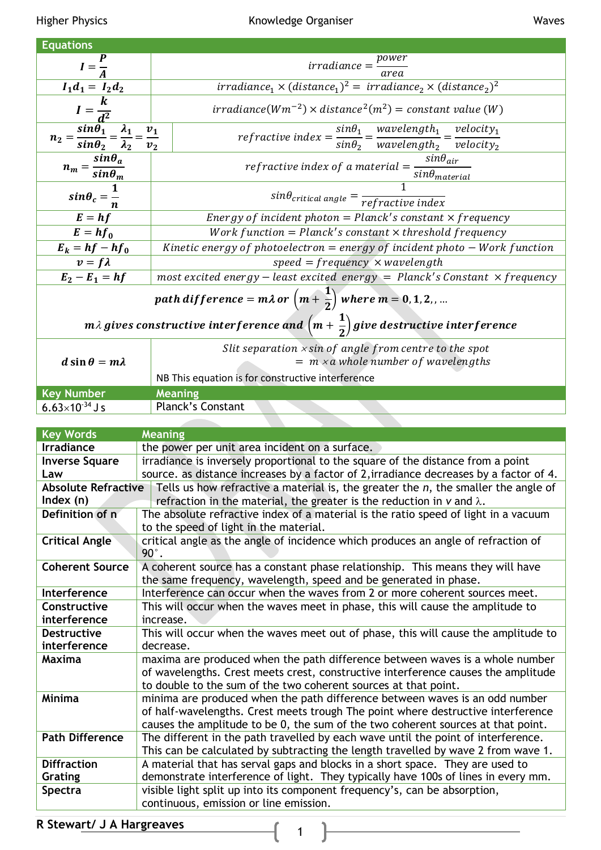| <b>Equations</b>                                                                                           |                                                                                                                                      |  |
|------------------------------------------------------------------------------------------------------------|--------------------------------------------------------------------------------------------------------------------------------------|--|
|                                                                                                            | $irradiance = \frac{power}{}$                                                                                                        |  |
| $I=\frac{1}{4}$                                                                                            | area                                                                                                                                 |  |
| $I_1d_1 = I_2d_2$                                                                                          | $irradiance1 × (distance1)2 = irradiance2 × (distance2)2$                                                                            |  |
|                                                                                                            | $irradiance(Wm^{-2}) \times distance^2(m^2) = constant value (W)$                                                                    |  |
| $n_2 = \frac{\sin \theta_1}{\sin \theta_2} = \frac{\lambda_1}{\lambda_2} = \frac{v_1}{v_2}$                | $\overline{refractive\ index} = \frac{sin\theta_1}{sin\theta_2} = \frac{wavelength_1}{wavelength_2} = \frac{velocity_1}{velocity_2}$ |  |
|                                                                                                            |                                                                                                                                      |  |
|                                                                                                            |                                                                                                                                      |  |
| $n_m = \frac{sin\theta_a}{sin\theta_m}$                                                                    | refractive index of a material $=\frac{sin\theta_{air}}{sin\theta_{material}}$                                                       |  |
| $sin\theta_c = \frac{1}{n}$                                                                                |                                                                                                                                      |  |
|                                                                                                            | $sin\theta_{critical\ angle} = \frac{1}{refractive\ index}$                                                                          |  |
| $E = hf$                                                                                                   | Energy of incident photon = $Planck's constant \times frequency$                                                                     |  |
| $E = hf_0$                                                                                                 | Work function = $Planck's constant \times threshold frequency$                                                                       |  |
| $E_k = hf - hf_0$                                                                                          | Kinetic energy of photoelectron = energy of incident photo $-$ Work function                                                         |  |
| $v = f\lambda$                                                                                             | $speed = frequency \times wavelength$                                                                                                |  |
| $\overline{E}_2 - E_1 = hf$                                                                                | most excited energy – least excited energy = Planck's Constant $\times$ frequency                                                    |  |
| path difference = $m\lambda$ or $\left(m+\frac{1}{2}\right)$ where $m=0,1,2,$                              |                                                                                                                                      |  |
| m $\lambda$ gives constructive interference and $\left(m+\frac{1}{2}\right)$ give destructive interference |                                                                                                                                      |  |
|                                                                                                            | Slit separation $x \sin of$ angle from centre to the spot                                                                            |  |
| $d \sin \theta = m \lambda$                                                                                | $= m \times a$ whole number of wavelengths                                                                                           |  |
|                                                                                                            | NB This equation is for constructive interference                                                                                    |  |

|                          | NB This equation is for constructive interference |
|--------------------------|---------------------------------------------------|
| <b>Key Number</b>        | <b>Meaning</b>                                    |
| $6.63\times10^{-34}$ J s | <b>Planck's Constant</b>                          |
|                          |                                                   |

| <b>Key Words</b><br><b>Meaning</b>                                                                                  |                                                                                        |  |
|---------------------------------------------------------------------------------------------------------------------|----------------------------------------------------------------------------------------|--|
| <b>Irradiance</b>                                                                                                   | the power per unit area incident on a surface.                                         |  |
| <b>Inverse Square</b>                                                                                               | irradiance is inversely proportional to the square of the distance from a point        |  |
| Law                                                                                                                 | source. as distance increases by a factor of 2, irradiance decreases by a factor of 4. |  |
| <b>Absolute Refractive</b><br>Tells us how refractive a material is, the greater the $n$ , the smaller the angle of |                                                                                        |  |
| Index $(n)$                                                                                                         | refraction in the material, the greater is the reduction in $v$ and $\lambda$ .        |  |
| Definition of n                                                                                                     | The absolute refractive index of a material is the ratio speed of light in a vacuum    |  |
|                                                                                                                     | to the speed of light in the material.                                                 |  |
| <b>Critical Angle</b>                                                                                               | critical angle as the angle of incidence which produces an angle of refraction of      |  |
|                                                                                                                     | $90^\circ$ .                                                                           |  |
| <b>Coherent Source</b>                                                                                              | A coherent source has a constant phase relationship. This means they will have         |  |
|                                                                                                                     | the same frequency, wavelength, speed and be generated in phase.                       |  |
| Interference                                                                                                        | Interference can occur when the waves from 2 or more coherent sources meet.            |  |
| Constructive                                                                                                        | This will occur when the waves meet in phase, this will cause the amplitude to         |  |
| interference                                                                                                        | increase.                                                                              |  |
| <b>Destructive</b>                                                                                                  | This will occur when the waves meet out of phase, this will cause the amplitude to     |  |
| interference                                                                                                        | decrease.                                                                              |  |
| Maxima                                                                                                              | maxima are produced when the path difference between waves is a whole number           |  |
|                                                                                                                     | of wavelengths. Crest meets crest, constructive interference causes the amplitude      |  |
|                                                                                                                     | to double to the sum of the two coherent sources at that point.                        |  |
| <b>Minima</b>                                                                                                       | minima are produced when the path difference between waves is an odd number            |  |
|                                                                                                                     | of half-wavelengths. Crest meets trough The point where destructive interference       |  |
|                                                                                                                     | causes the amplitude to be 0, the sum of the two coherent sources at that point.       |  |
| <b>Path Difference</b>                                                                                              | The different in the path travelled by each wave until the point of interference.      |  |
|                                                                                                                     | This can be calculated by subtracting the length travelled by wave 2 from wave 1.      |  |
| <b>Diffraction</b>                                                                                                  | A material that has serval gaps and blocks in a short space. They are used to          |  |
| Grating                                                                                                             | demonstrate interference of light. They typically have 100s of lines in every mm.      |  |
| Spectra                                                                                                             | visible light split up into its component frequency's, can be absorption,              |  |
|                                                                                                                     | continuous, emission or line emission.                                                 |  |
|                                                                                                                     |                                                                                        |  |

 $\overline{\mathbf{r}}$ 

R Stewart/ J A Hargreaves 1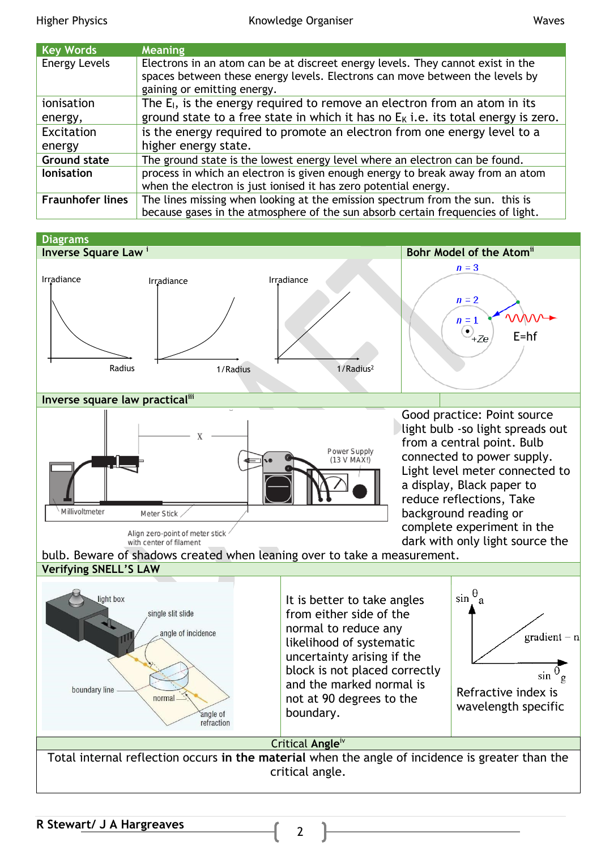| <b>Key Words</b>        | <b>Meaning</b>                                                                                                                                                                                 |
|-------------------------|------------------------------------------------------------------------------------------------------------------------------------------------------------------------------------------------|
| <b>Energy Levels</b>    | Electrons in an atom can be at discreet energy levels. They cannot exist in the<br>spaces between these energy levels. Electrons can move between the levels by<br>gaining or emitting energy. |
| ionisation              | The $E_1$ , is the energy required to remove an electron from an atom in its                                                                                                                   |
| energy,                 | ground state to a free state in which it has no $EK$ i.e. its total energy is zero.                                                                                                            |
| Excitation              | is the energy required to promote an electron from one energy level to a                                                                                                                       |
| energy                  | higher energy state.                                                                                                                                                                           |
| <b>Ground state</b>     | The ground state is the lowest energy level where an electron can be found.                                                                                                                    |
| <b>lonisation</b>       | process in which an electron is given enough energy to break away from an atom                                                                                                                 |
|                         | when the electron is just ionised it has zero potential energy.                                                                                                                                |
| <b>Fraunhofer lines</b> | The lines missing when looking at the emission spectrum from the sun. this is                                                                                                                  |
|                         | because gases in the atmosphere of the sun absorb certain frequencies of light                                                                                                                 |

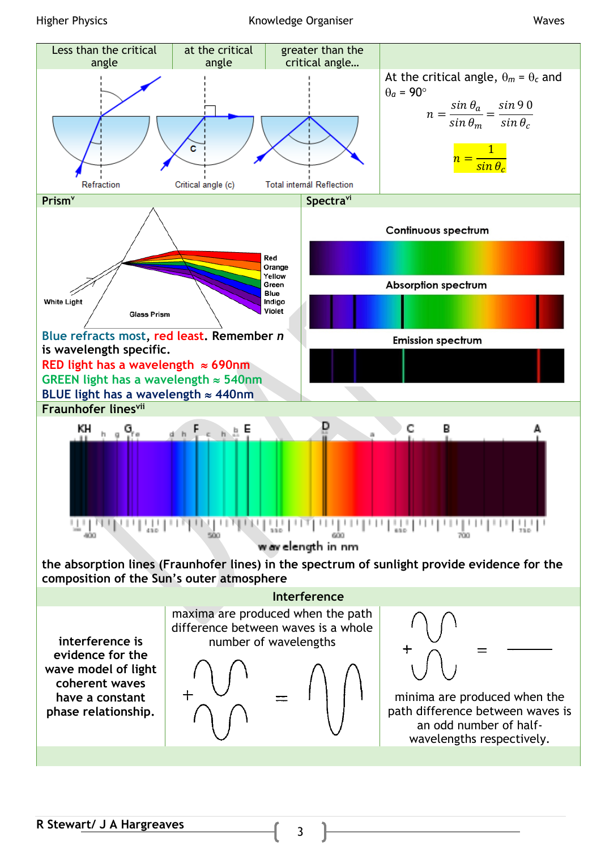## Higher Physics **Knowledge Organiser** Waves

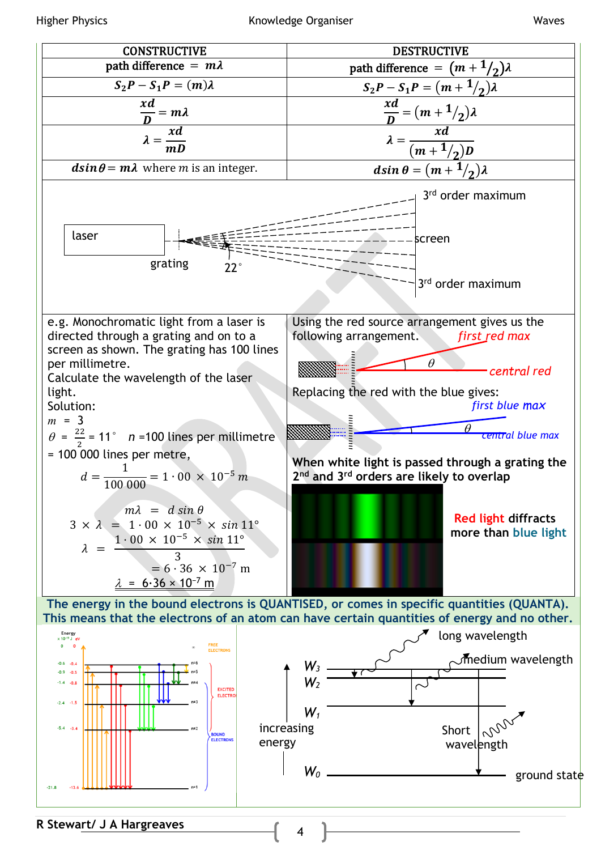